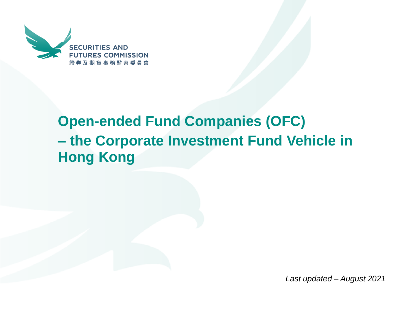

# **Open-ended Fund Companies (OFC) – the Corporate Investment Fund Vehicle in Hong Kong**

*Last updated – August 2021*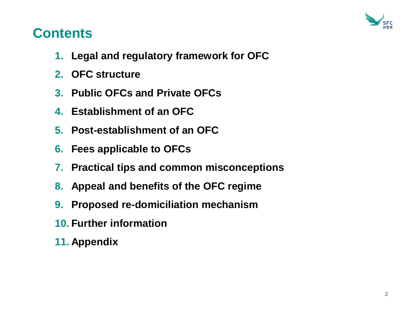

### **Contents**

- **1. Legal and regulatory framework for OFC**
- **2. OFC structure**
- **3. Public OFCs and Private OFCs**
- **4. Establishment of an OFC**
- **5. Post-establishment of an OFC**
- **6. Fees applicable to OFCs**
- **7. Practical tips and common misconceptions**
- **8. Appeal and benefits of the OFC regime**
- **9. Proposed re-domiciliation mechanism**
- **10. Further information**
- **11. Appendix**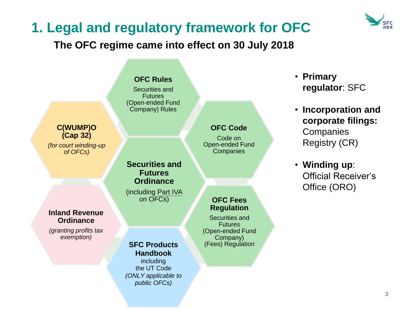

### **1. Legal and regulatory framework for OFC**

### **The OFC regime came into effect on 30 July 2018**

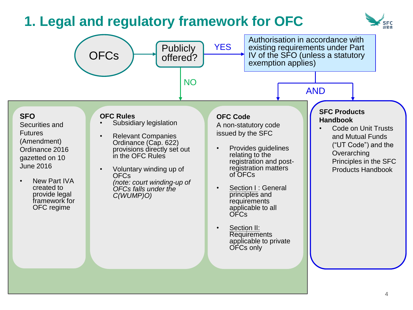# **1. Legal and regulatory framework for OFC**



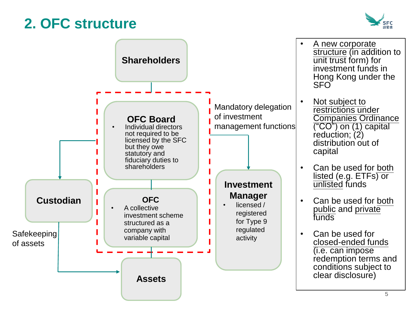## **2. OFC structure**



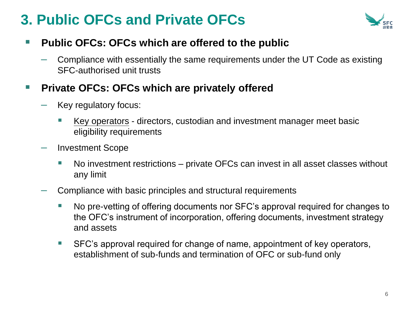# **3. Public OFCs and Private OFCs**



### ■ Public OFCs: OFCs which are offered to the public

 $-$  Compliance with essentially the same requirements under the UT Code as existing SFC-authorised unit trusts

#### ■ Private OFCs: OFCs which are privately offered

- Key regulatory focus:
	- Key operators directors, custodian and investment manager meet basic eligibility requirements
- Investment Scope
	- No investment restrictions private OFCs can invest in all asset classes without any limit
- Compliance with basic principles and structural requirements
	- No pre-vetting of offering documents nor SFC's approval required for changes to the OFC's instrument of incorporation, offering documents, investment strategy and assets
	- SFC's approval required for change of name, appointment of key operators, establishment of sub-funds and termination of OFC or sub-fund only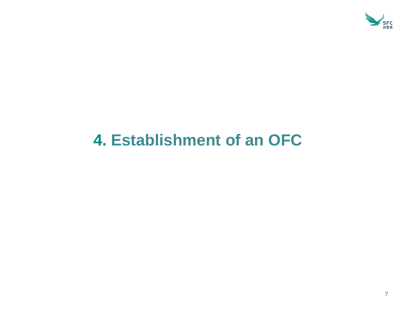

# **4. Establishment of an OFC**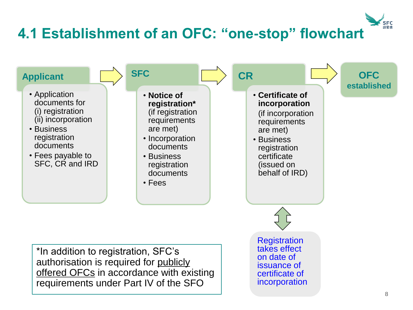# **4.1 Establishment of an OFC: "one-stop" flowchart**

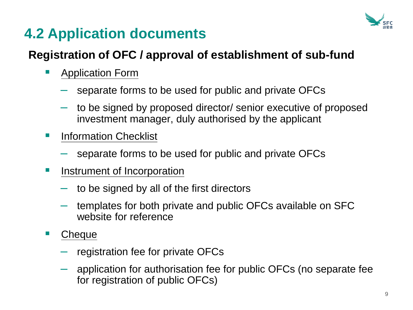

# **4.2 Application documents**

### **Registration of OFC / approval of establishment of sub-fund**

- Application Form
	- separate forms to be used for public and private OFCs
	- to be signed by proposed director/ senior executive of proposed investment manager, duly authorised by the applicant
- **E** Information Checklist
	- separate forms to be used for public and private OFCs
- **E** Instrument of Incorporation
	- to be signed by all of the first directors
	- templates for both private and public OFCs available on SFC website for reference
- Cheque
	- registration fee for private OFCs
	- application for authorisation fee for public OFCs (no separate fee for registration of public OFCs)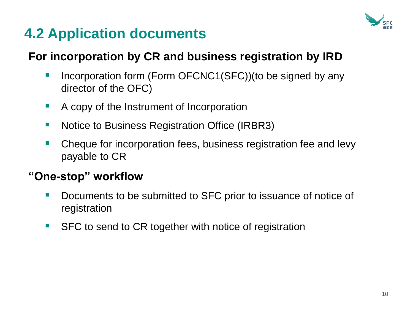

# **4.2 Application documents**

### **For incorporation by CR and business registration by IRD**

- Incorporation form (Form OFCNC1(SFC))(to be signed by any director of the OFC)
- A copy of the Instrument of Incorporation
- Notice to Business Registration Office (IRBR3)
- Cheque for incorporation fees, business registration fee and levy payable to CR

### **"One-stop" workflow**

- Documents to be submitted to SFC prior to issuance of notice of registration
- SFC to send to CR together with notice of registration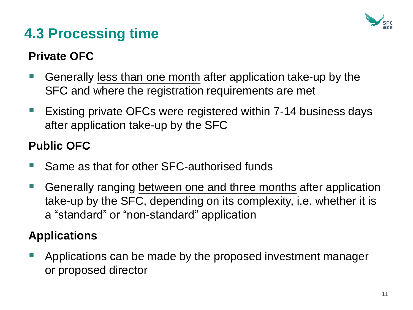

# **4.3 Processing time**

### **Private OFC**

- Generally less than one month after application take-up by the SFC and where the registration requirements are met
- Existing private OFCs were registered within 7-14 business days after application take-up by the SFC

### **Public OFC**

- Same as that for other SFC-authorised funds
- Generally ranging between one and three months after application take-up by the SFC, depending on its complexity, i.e. whether it is a "standard" or "non-standard" application

### **Applications**

■ Applications can be made by the proposed investment manager or proposed director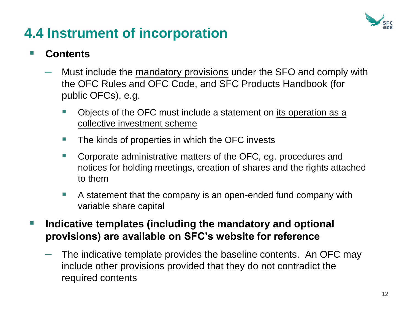

## **4.4 Instrument of incorporation**

### **Contents**

- Must include the mandatory provisions under the SFO and comply with the OFC Rules and OFC Code, and SFC Products Handbook (for public OFCs), e.g.
	- Objects of the OFC must include a statement on its operation as a collective investment scheme
	- The kinds of properties in which the OFC invests
	- Corporate administrative matters of the OFC, eg. procedures and notices for holding meetings, creation of shares and the rights attached to them
	- A statement that the company is an open-ended fund company with variable share capital
- Indicative templates (including the mandatory and optional **provisions) are available on SFC's website for reference** 
	- $-$  The indicative template provides the baseline contents. An OFC may include other provisions provided that they do not contradict the required contents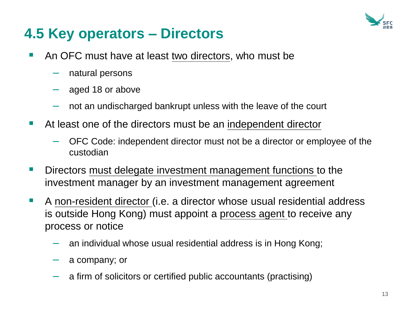

# **4.5 Key operators – Directors**

- An OFC must have at least two directors, who must be
	- natural persons
	- aged 18 or above
	- not an undischarged bankrupt unless with the leave of the court
- At least one of the directors must be an independent director
	- OFC Code: independent director must not be a director or employee of the custodian
- **E** Directors must delegate investment management functions to the investment manager by an investment management agreement
- A non-resident director (i.e. a director whose usual residential address is outside Hong Kong) must appoint a process agent to receive any process or notice
	- an individual whose usual residential address is in Hong Kong;
	- a company; or
	- a firm of solicitors or certified public accountants (practising)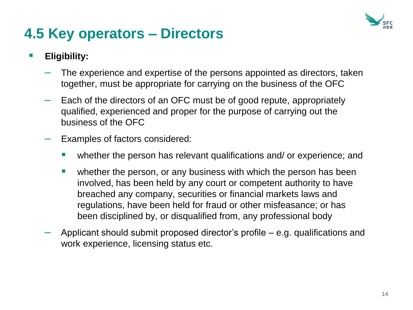

# **4.5 Key operators – Directors**

#### ▪ **Eligibility:**

- The experience and expertise of the persons appointed as directors, taken together, must be appropriate for carrying on the business of the OFC
- Each of the directors of an OFC must be of good repute, appropriately qualified, experienced and proper for the purpose of carrying out the business of the OFC
- Examples of factors considered:
	- whether the person has relevant qualifications and/ or experience; and
	- **E** whether the person, or any business with which the person has been involved, has been held by any court or competent authority to have breached any company, securities or financial markets laws and regulations, have been held for fraud or other misfeasance; or has been disciplined by, or disqualified from, any professional body
- Applicant should submit proposed director's profile e.g. qualifications and work experience, licensing status etc.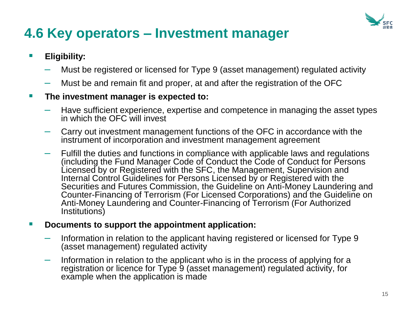

## **4.6 Key operators – Investment manager**

#### ▪ **Eligibility:**

- Must be registered or licensed for Type 9 (asset management) regulated activity
- Must be and remain fit and proper, at and after the registration of the OFC

#### ▪ **The investment manager is expected to:**

- Have sufficient experience, expertise and competence in managing the asset types in which the OFC will invest
- Carry out investment management functions of the OFC in accordance with the instrument of incorporation and investment management agreement
- Fulfill the duties and functions in compliance with applicable laws and regulations (including the Fund Manager Code of Conduct the Code of Conduct for Persons Licensed by or Registered with the SFC, the Management, Supervision and Internal Control Guidelines for Persons Licensed by or Registered with the Securities and Futures Commission, the Guideline on Anti-Money Laundering and Counter-Financing of Terrorism (For Licensed Corporations) and the Guideline on Anti-Money Laundering and Counter-Financing of Terrorism (For Authorized Institutions)

#### ▪ **Documents to support the appointment application:**

- Information in relation to the applicant having registered or licensed for Type 9 (asset management) regulated activity
- Information in relation to the applicant who is in the process of applying for a registration or licence for Type 9 (asset management) regulated activity, for example when the application is made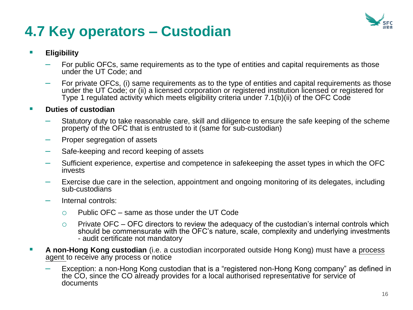

# **4.7 Key operators – Custodian**

#### ▪ **Eligibility**

- For public OFCs, same requirements as to the type of entities and capital requirements as those under the UT Code; and
- For private OFCs, (i) same requirements as to the type of entities and capital requirements as those under the UT Code; or (ii) a licensed corporation or registered institution licensed or registered for Type 1 regulated activity which meets eligibility criteria under 7.1(b)(ii) of the OFC Code

#### ■ **Duties of custodian**

- Statutory duty to take reasonable care, skill and diligence to ensure the safe keeping of the scheme property of the OFC that is entrusted to it (same for sub-custodian)
- Proper segregation of assets
- Safe-keeping and record keeping of assets
- Sufficient experience, expertise and competence in safekeeping the asset types in which the OFC invests
- Exercise due care in the selection, appointment and ongoing monitoring of its delegates, including sub-custodians
- Internal controls:
	- $\circ$  Public OFC same as those under the UT Code
	- $\circ$  Private OFC OFC directors to review the adequacy of the custodian's internal controls which should be commensurate with the OFC's nature, scale, complexity and underlying investments - audit certificate not mandatory
- **E** A non-Hong Kong custodian (i.e. a custodian incorporated outside Hong Kong) must have a process agent to receive any process or notice
	- Exception: a non-Hong Kong custodian that is a "registered non-Hong Kong company" as defined in the CO, since the CO already provides for a local authorised representative for service of documents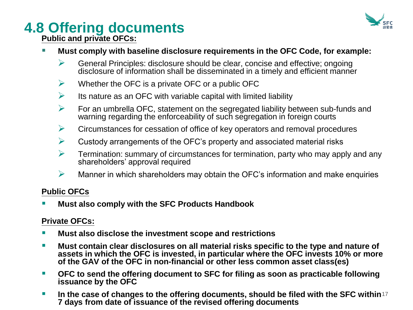

# **4.8 Offering documents**

**Public and private OFCs:** 

- Must comply with baseline disclosure requirements in the OFC Code, for example:
	- $\triangleright$  General Principles: disclosure should be clear, concise and effective; ongoing disclosure of information shall be disseminated in a timely and efficient manner
	- $\triangleright$  Whether the OFC is a private OFC or a public OFC
	- $\triangleright$  Its nature as an OFC with variable capital with limited liability
	- $\triangleright$  For an umbrella OFC, statement on the segregated liability between sub-funds and warning regarding the enforceability of such segregation in foreign courts
	- $\triangleright$  Circumstances for cessation of office of key operators and removal procedures
	- $\triangleright$  Custody arrangements of the OFC's property and associated material risks
	- $\triangleright$  Termination: summary of circumstances for termination, party who may apply and any shareholders' approval required
	- $\triangleright$  Manner in which shareholders may obtain the OFC's information and make enquiries

#### **Public OFCs**

**Must also comply with the SFC Products Handbook** 

#### **Private OFCs:**

- **Must also disclose the investment scope and restrictions**
- Must contain clear disclosures on all material risks specific to the type and nature of **assets in which the OFC is invested, in particular where the OFC invests 10% or more of the GAV of the OFC in non-financial or other less common asset class(es)**
- OFC to send the offering document to SFC for filing as soon as practicable following **issuance by the OFC**
- **EXTE:** In the case of changes to the offering documents, should be filed with the SFC within<sup>17</sup> **7 days from date of issuance of the revised offering documents**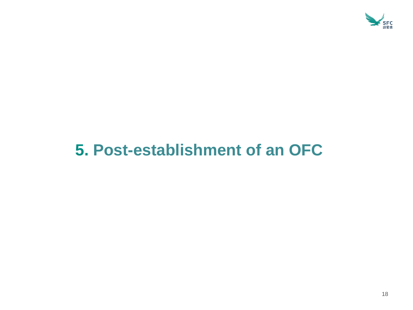

# **5. Post-establishment of an OFC**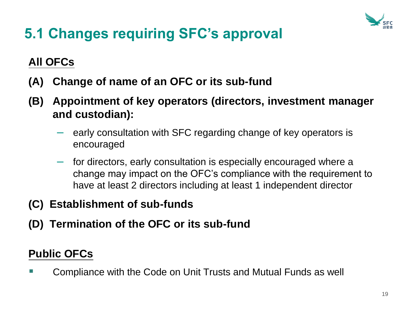

# **5.1 Changes requiring SFC's approval**

### **All OFCs**

- **(A) Change of name of an OFC or its sub-fund**
- **(B) Appointment of key operators (directors, investment manager and custodian):** 
	- early consultation with SFC regarding change of key operators is encouraged
	- for directors, early consultation is especially encouraged where a change may impact on the OFC's compliance with the requirement to have at least 2 directors including at least 1 independent director
- **(C) Establishment of sub-funds**
- **(D) Termination of the OFC or its sub-fund**

### **Public OFCs**

■ Compliance with the Code on Unit Trusts and Mutual Funds as well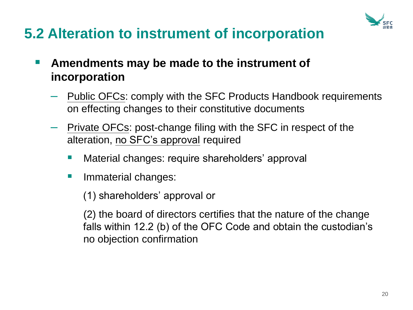

# **5.2 Alteration to instrument of incorporation**

- Amendments may be made to the instrument of **incorporation**
	- Public OFCs: comply with the SFC Products Handbook requirements on effecting changes to their constitutive documents
	- Private OFCs: post-change filing with the SFC in respect of the alteration, no SFC's approval required
		- Material changes: require shareholders' approval
		- **E** Immaterial changes:

(1) shareholders' approval or

(2) the board of directors certifies that the nature of the change falls within 12.2 (b) of the OFC Code and obtain the custodian's no objection confirmation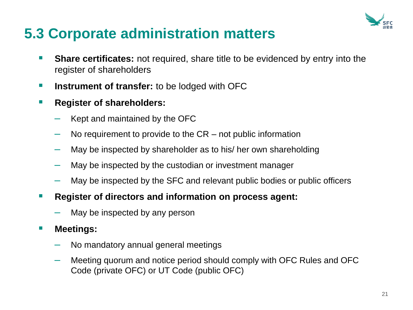

# **5.3 Corporate administration matters**

- **Share certificates:** not required, share title to be evidenced by entry into the register of shareholders
- **EXTERN INSTERNATE:** It is be lodged with OFC
- **Register of shareholders:** 
	- Kept and maintained by the OFC
	- No requirement to provide to the  $CR$  not public information
	- May be inspected by shareholder as to his/ her own shareholding
	- May be inspected by the custodian or investment manager
	- May be inspected by the SFC and relevant public bodies or public officers
- **Register of directors and information on process agent:** 
	- May be inspected by any person
- **Meetings:** 
	- No mandatory annual general meetings
	- Meeting quorum and notice period should comply with OFC Rules and OFC Code (private OFC) or UT Code (public OFC)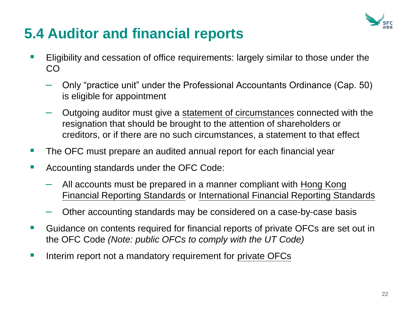

# **5.4 Auditor and financial reports**

- Eligibility and cessation of office requirements: largely similar to those under the CO
	- Only "practice unit" under the Professional Accountants Ordinance (Cap. 50) is eligible for appointment
	- Outgoing auditor must give a statement of circumstances connected with the resignation that should be brought to the attention of shareholders or creditors, or if there are no such circumstances, a statement to that effect
- The OFC must prepare an audited annual report for each financial year
- Accounting standards under the OFC Code:
	- All accounts must be prepared in a manner compliant with Hong Kong Financial Reporting Standards or International Financial Reporting Standards
	- Other accounting standards may be considered on a case-by-case basis
- Guidance on contents required for financial reports of private OFCs are set out in the OFC Code *(Note: public OFCs to comply with the UT Code)*
- Interim report not a mandatory requirement for private OFCs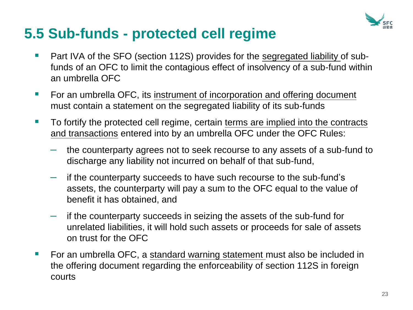

## **5.5 Sub-funds - protected cell regime**

- Part IVA of the SFO (section 112S) provides for the segregated liability of subfunds of an OFC to limit the contagious effect of insolvency of a sub-fund within an umbrella OFC
- For an umbrella OFC, its instrument of incorporation and offering document must contain a statement on the segregated liability of its sub-funds
- To fortify the protected cell regime, certain terms are implied into the contracts and transactions entered into by an umbrella OFC under the OFC Rules:
	- the counterparty agrees not to seek recourse to any assets of a sub-fund to discharge any liability not incurred on behalf of that sub-fund,
	- if the counterparty succeeds to have such recourse to the sub-fund's assets, the counterparty will pay a sum to the OFC equal to the value of benefit it has obtained, and
	- if the counterparty succeeds in seizing the assets of the sub-fund for unrelated liabilities, it will hold such assets or proceeds for sale of assets on trust for the OFC
- For an umbrella OFC, a standard warning statement must also be included in the offering document regarding the enforceability of section 112S in foreign courts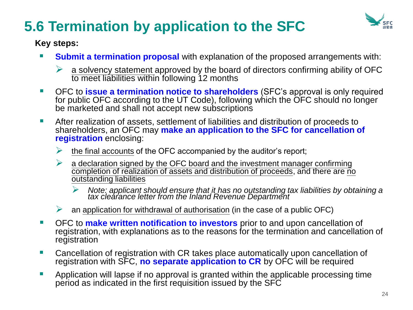# **5.6 Termination by application to the SFC**



#### **Key steps:**

- **Submit a termination proposal** with explanation of the proposed arrangements with:
	- $\triangleright$  a solvency statement approved by the board of directors confirming ability of OFC to meet liabilities within following 12 months
- **OFC to issue a termination notice to shareholders** (SFC's approval is only required for public OFC according to the UT Code), following which the OFC should no longer be marketed and shall not accept new subscriptions
- After realization of assets, settlement of liabilities and distribution of proceeds to shareholders, an OFC may **make an application to the SFC for cancellation of registration** enclosing:
	- $\triangleright$  the final accounts of the OFC accompanied by the auditor's report;
	- $\triangleright$  a declaration signed by the OFC board and the investment manager confirming completion of realization of assets and distribution of proceeds, and there are no outstanding liabilities
		- ➢ *Note: applicant should ensure that it has no outstanding tax liabilities by obtaining a tax clearance letter from the Inland Revenue Department*
	- $\triangleright$  an application for withdrawal of authorisation (in the case of a public OFC)
- **EXTERN 1** OFC to make written notification to investors prior to and upon cancellation of registration, with explanations as to the reasons for the termination and cancellation of registration
- Cancellation of registration with CR takes place automatically upon cancellation of registration with SFC, **no separate application to CR** by OFC will be required
- **E** Application will lapse if no approval is granted within the applicable processing time period as indicated in the first requisition issued by the SFC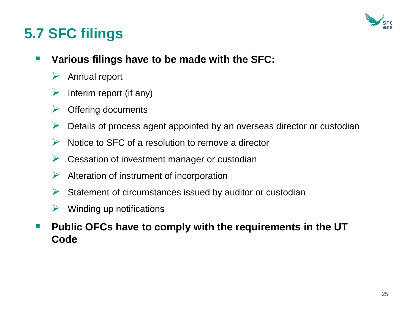

# **5.7 SFC filings**

- Various filings have to be made with the SFC:
	- ➢ Annual report
	- Interim report (if any)
	- ➢ Offering documents
	- ➢ Details of process agent appointed by an overseas director or custodian
	- ➢ Notice to SFC of a resolution to remove a director
	- $\triangleright$  Cessation of investment manager or custodian
	- $\triangleright$  Alteration of instrument of incorporation
	- $\triangleright$  Statement of circumstances issued by auditor or custodian
	- $\triangleright$  Winding up notifications
- Public OFCs have to comply with the requirements in the UT **Code**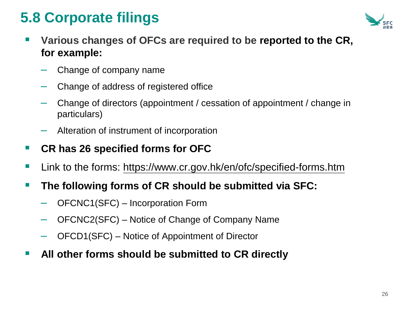# **5.8 Corporate filings**



- Various changes of OFCs are required to be reported to the CR, **for example:**
	- Change of company name
	- Change of address of registered office
	- Change of directors (appointment / cessation of appointment / change in particulars)
	- Alteration of instrument of incorporation

### ■ CR has 26 specified forms for OFC

■ Link to the forms: <https://www.cr.gov.hk/en/ofc/specified-forms.htm>

### ■ The following forms of CR should be submitted via SFC:

- OFCNC1(SFC) Incorporation Form
- OFCNC2(SFC) Notice of Change of Company Name
- OFCD1(SFC) Notice of Appointment of Director
- All other forms should be submitted to CR directly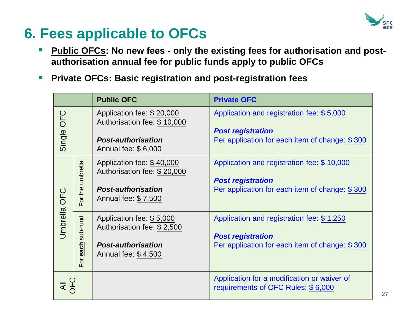

# **6. Fees applicable to OFCs**

- Public OFCs: No new fees only the existing fees for authorisation and post**authorisation annual fee for public funds apply to public OFCs**
- Private OFCs: Basic registration and post-registration fees

|              |                         | <b>Public OFC</b>                                                                                            | <b>Private OFC</b>                                                                                                       |
|--------------|-------------------------|--------------------------------------------------------------------------------------------------------------|--------------------------------------------------------------------------------------------------------------------------|
| Single OFC   |                         | Application fee: \$20,000<br>Authorisation fee: \$10,000<br><b>Post-authorisation</b><br>Annual fee: \$6,000 | Application and registration fee: \$5,000<br><b>Post registration</b><br>Per application for each item of change: \$300  |
| Umbrella OFC | For the umbrella        | Application fee: \$40,000<br>Authorisation fee: \$20,000<br><b>Post-authorisation</b><br>Annual fee: \$7,500 | Application and registration fee: \$10,000<br><b>Post registration</b><br>Per application for each item of change: \$300 |
|              | sub-fund<br>each<br>For | Application fee: \$5,000<br>Authorisation fee: \$2,500<br><b>Post-authorisation</b><br>Annual fee: \$4,500   | Application and registration fee: \$1,250<br><b>Post registration</b><br>Per application for each item of change: \$300  |
| VEC<br>N     |                         |                                                                                                              | Application for a modification or waiver of<br>requirements of OFC Rules: \$6,000                                        |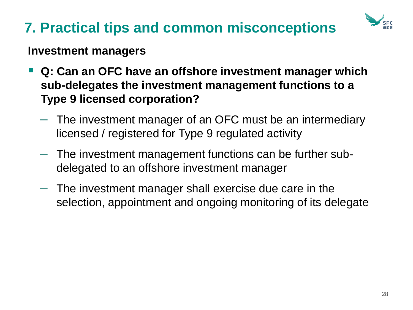

### **Investment managers**

- **Q: Can an OFC have an offshore investment manager which sub-delegates the investment management functions to a Type 9 licensed corporation?**
	- The investment manager of an OFC must be an intermediary licensed / registered for Type 9 regulated activity
	- The investment management functions can be further subdelegated to an offshore investment manager
	- The investment manager shall exercise due care in the selection, appointment and ongoing monitoring of its delegate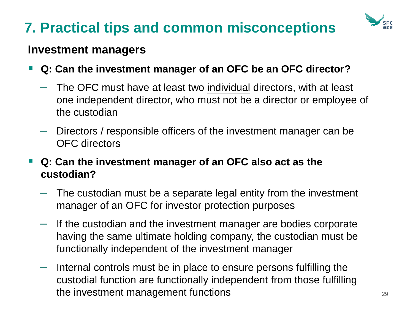

### **Investment managers**

- **Q: Can the investment manager of an OFC be an OFC director?**
	- The OFC must have at least two individual directors, with at least one independent director, who must not be a director or employee of the custodian
	- Directors / responsible officers of the investment manager can be OFC directors
- Q: Can the investment manager of an OFC also act as the **custodian?**
	- The custodian must be a separate legal entity from the investment manager of an OFC for investor protection purposes
	- If the custodian and the investment manager are bodies corporate having the same ultimate holding company, the custodian must be functionally independent of the investment manager
	- Internal controls must be in place to ensure persons fulfilling the custodial function are functionally independent from those fulfilling the investment management functions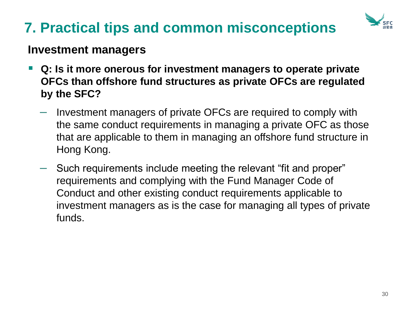

### **Investment managers**

- Q: Is it more onerous for investment managers to operate private **OFCs than offshore fund structures as private OFCs are regulated by the SFC?**
	- Investment managers of private OFCs are required to comply with the same conduct requirements in managing a private OFC as those that are applicable to them in managing an offshore fund structure in Hong Kong.
	- Such requirements include meeting the relevant "fit and proper" requirements and complying with the Fund Manager Code of Conduct and other existing conduct requirements applicable to investment managers as is the case for managing all types of private funds.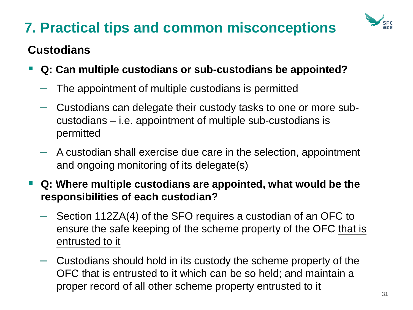

### **Custodians**

- **Q: Can multiple custodians or sub-custodians be appointed?**
	- The appointment of multiple custodians is permitted
	- Custodians can delegate their custody tasks to one or more subcustodians – i.e. appointment of multiple sub-custodians is permitted
	- A custodian shall exercise due care in the selection, appointment and ongoing monitoring of its delegate(s)
- **Q: Where multiple custodians are appointed, what would be the responsibilities of each custodian?**
	- Section 112ZA(4) of the SFO requires a custodian of an OFC to ensure the safe keeping of the scheme property of the OFC that is entrusted to it
	- Custodians should hold in its custody the scheme property of the OFC that is entrusted to it which can be so held; and maintain a proper record of all other scheme property entrusted to it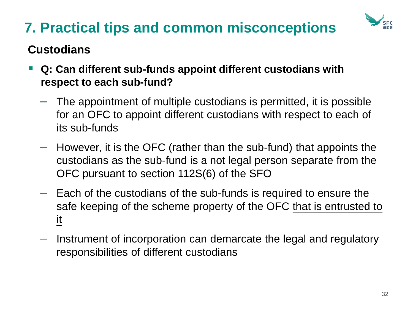

### **Custodians**

- Q: Can different sub-funds appoint different custodians with **respect to each sub-fund?**
	- The appointment of multiple custodians is permitted, it is possible for an OFC to appoint different custodians with respect to each of its sub-funds
	- However, it is the OFC (rather than the sub-fund) that appoints the custodians as the sub-fund is a not legal person separate from the OFC pursuant to section 112S(6) of the SFO
	- Each of the custodians of the sub-funds is required to ensure the safe keeping of the scheme property of the OFC that is entrusted to it
	- Instrument of incorporation can demarcate the legal and regulatory responsibilities of different custodians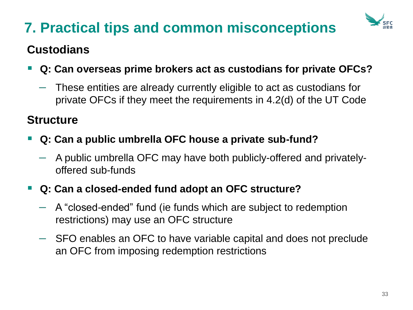

### **Custodians**

- Q: Can overseas prime brokers act as custodians for private OFCs?
	- These entities are already currently eligible to act as custodians for private OFCs if they meet the requirements in 4.2(d) of the UT Code

### **Structure**

- **Q: Can a public umbrella OFC house a private sub-fund?**
	- A public umbrella OFC may have both publicly-offered and privatelyoffered sub-funds

### ▪ **Q: Can a closed-ended fund adopt an OFC structure?**

- A "closed-ended" fund (ie funds which are subject to redemption restrictions) may use an OFC structure
- SFO enables an OFC to have variable capital and does not preclude an OFC from imposing redemption restrictions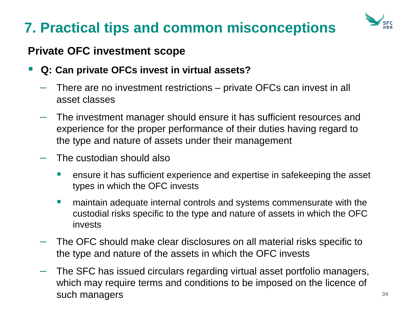

### **Private OFC investment scope**

- **Q: Can private OFCs invest in virtual assets?**
	- There are no investment restrictions private OFCs can invest in all asset classes
	- $-$  The investment manager should ensure it has sufficient resources and experience for the proper performance of their duties having regard to the type and nature of assets under their management
	- The custodian should also
		- ensure it has sufficient experience and expertise in safekeeping the asset types in which the OFC invests
		- maintain adequate internal controls and systems commensurate with the custodial risks specific to the type and nature of assets in which the OFC invests
	- The OFC should make clear disclosures on all material risks specific to the type and nature of the assets in which the OFC invests
	- The SFC has issued circulars regarding virtual asset portfolio managers, which may require terms and conditions to be imposed on the licence of such managers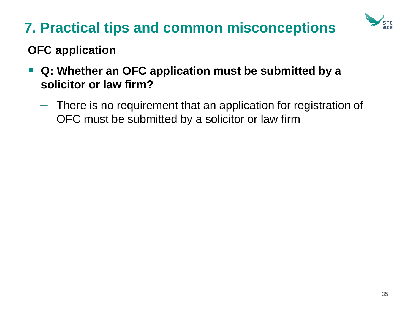

### **OFC application**

- Q: Whether an OFC application must be submitted by a **solicitor or law firm?**
	- There is no requirement that an application for registration of OFC must be submitted by a solicitor or law firm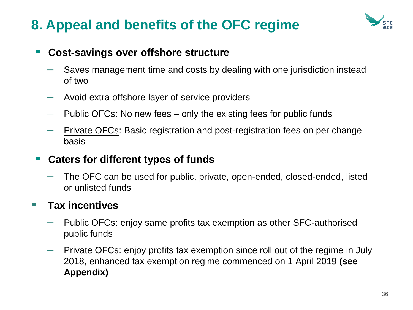

### ■ Cost-savings over offshore structure

- Saves management time and costs by dealing with one jurisdiction instead of two
- Avoid extra offshore layer of service providers
- Public OFCs: No new fees only the existing fees for public funds
- Private OFCs: Basic registration and post-registration fees on per change basis

### ▪ **Caters for different types of funds**

– The OFC can be used for public, private, open-ended, closed-ended, listed or unlisted funds

### ■ Tax incentives

- Public OFCs: enjoy same profits tax exemption as other SFC-authorised public funds
- Private OFCs: enjoy profits tax exemption since roll out of the regime in July 2018, enhanced tax exemption regime commenced on 1 April 2019 **(see Appendix)**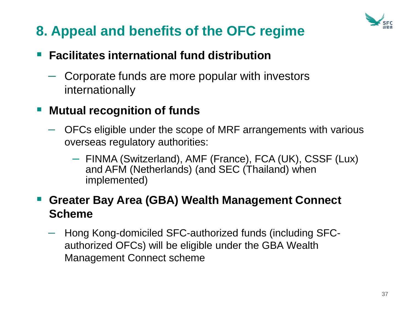

### ■ Facilitates international fund distribution

– Corporate funds are more popular with investors internationally

### **Mutual recognition of funds**

- OFCs eligible under the scope of MRF arrangements with various overseas regulatory authorities:
	- FINMA (Switzerland), AMF (France), FCA (UK), CSSF (Lux) and AFM (Netherlands) (and SEC (Thailand) when implemented)

### **Greater Bay Area (GBA) Wealth Management Connect Scheme**

– Hong Kong-domiciled SFC-authorized funds (including SFCauthorized OFCs) will be eligible under the GBA Wealth Management Connect scheme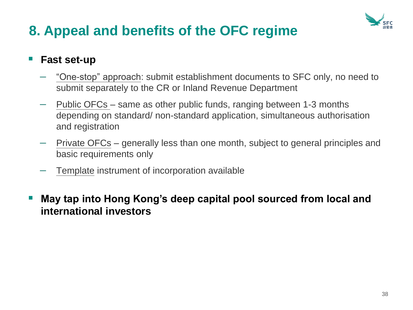

### **Fast set-up**

- "One-stop" approach: submit establishment documents to SFC only, no need to submit separately to the CR or Inland Revenue Department
- Public OFCs same as other public funds, ranging between 1-3 months depending on standard/ non-standard application, simultaneous authorisation and registration
- Private OFCs generally less than one month, subject to general principles and basic requirements only
- Template instrument of incorporation available
- **May tap into Hong Kong's deep capital pool sourced from local and international investors**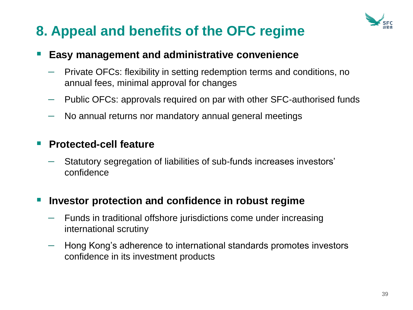

#### **Easy management and administrative convenience**

- Private OFCs: flexibility in setting redemption terms and conditions, no annual fees, minimal approval for changes
- Public OFCs: approvals required on par with other SFC-authorised funds
- No annual returns nor mandatory annual general meetings

#### **Protected-cell feature**

– Statutory segregation of liabilities of sub-funds increases investors' confidence

#### **Investor protection and confidence in robust regime**

- Funds in traditional offshore jurisdictions come under increasing international scrutiny
- Hong Kong's adherence to international standards promotes investors confidence in its investment products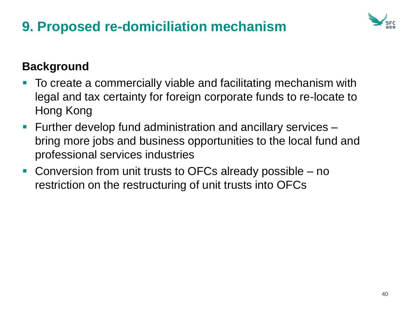# **9. Proposed re-domiciliation mechanism**



### **Background**

- To create a commercially viable and facilitating mechanism with legal and tax certainty for foreign corporate funds to re-locate to Hong Kong
- Further develop fund administration and ancillary services bring more jobs and business opportunities to the local fund and professional services industries
- Conversion from unit trusts to OFCs already possible no restriction on the restructuring of unit trusts into OFCs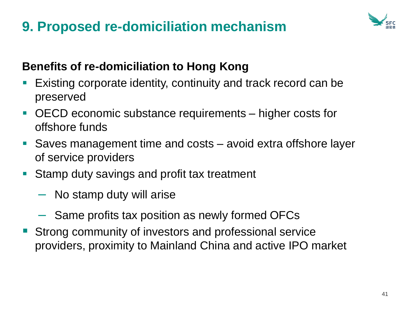## **9. Proposed re-domiciliation mechanism**



### **Benefits of re-domiciliation to Hong Kong**

- Existing corporate identity, continuity and track record can be preserved
- OECD economic substance requirements higher costs for offshore funds
- Saves management time and costs avoid extra offshore layer of service providers
- Stamp duty savings and profit tax treatment
	- No stamp duty will arise
	- Same profits tax position as newly formed OFCs
- Strong community of investors and professional service providers, proximity to Mainland China and active IPO market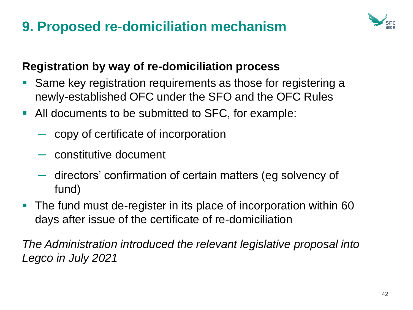## **9. Proposed re-domiciliation mechanism**



### **Registration by way of re-domiciliation process**

- Same key registration requirements as those for registering a newly-established OFC under the SFO and the OFC Rules
- All documents to be submitted to SFC, for example:
	- copy of certificate of incorporation
	- constitutive document
	- directors' confirmation of certain matters (eg solvency of fund)
- The fund must de-register in its place of incorporation within 60 days after issue of the certificate of re-domiciliation

*The Administration introduced the relevant legislative proposal into Legco in July 2021*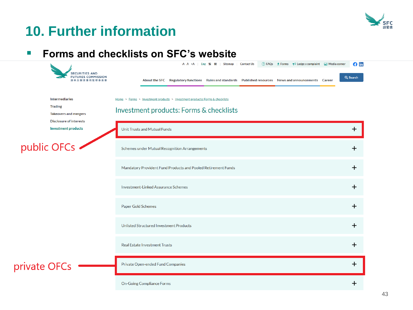

#### ■ **Forms and checklists on SFC's website**

| <b>SECURITIES AND</b><br><b>FUTURES COMMISSION</b>                                                        | ⊙ FAQs • Forms ← Lodge a complaint ∴ Media corner<br>$- A A + A$<br><b>Contact Us</b><br>Eng 繁簡<br><b>Sitemap</b><br>About the SFC Regulatory functions Rules and standards Published resources News and announcements Career | $\theta$ in<br>Q Search |
|-----------------------------------------------------------------------------------------------------------|-------------------------------------------------------------------------------------------------------------------------------------------------------------------------------------------------------------------------------|-------------------------|
| <b>Intermediaries</b><br><b>Trading</b><br><b>Takeovers and mergers</b><br><b>Disclosure of interests</b> | Home > Forms > Investment products > Investment products: Forms & checklists<br>Investment products: Forms & checklists                                                                                                       |                         |
| <b>Investment products</b>                                                                                | Unit Trusts and Mutual Funds                                                                                                                                                                                                  | $\ddot{}$               |
| public OFCs -                                                                                             | Schemes under Mutual Recognition Arrangements                                                                                                                                                                                 | $\mathbf +$             |
|                                                                                                           | Mandatory Provident Fund Products and Pooled Retirement Funds                                                                                                                                                                 | $\ddot{}$               |
|                                                                                                           | <b>Investment-Linked Assurance Schemes</b>                                                                                                                                                                                    | $\mathbf +$             |
|                                                                                                           | Paper Gold Schemes                                                                                                                                                                                                            | $\ddot{}$               |
|                                                                                                           | <b>Unlisted Structured Investment Products</b>                                                                                                                                                                                | $\ddot{}$               |
|                                                                                                           | <b>Real Estate Investment Trusts</b>                                                                                                                                                                                          | $\ddot{}$               |
| private OFCs                                                                                              | Private Open-ended Fund Companies                                                                                                                                                                                             | $\mathbf +$             |
|                                                                                                           | <b>On-Going Compliance Forms</b>                                                                                                                                                                                              | ┿                       |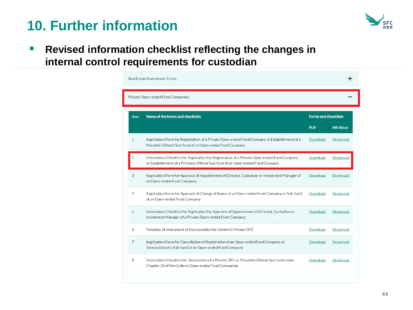

■ **Revised information checklist reflecting the changes in internal control requirements for custodian**

|                | Private Open-ended Fund Companies                                                                                                                                             |            |                             |  |
|----------------|-------------------------------------------------------------------------------------------------------------------------------------------------------------------------------|------------|-----------------------------|--|
| <b>Item</b>    | Name of the forms and checklists                                                                                                                                              |            | <b>Forms and checklists</b> |  |
|                |                                                                                                                                                                               | <b>PDF</b> | <b>MS Word</b>              |  |
| 1              | Application Form for Registration of a Private Open-ended Fund Company or Establishment of a<br>Privately Offered Sub-fund of an Open-ended Fund Company                      | Download   | Download                    |  |
| $\overline{2}$ | Information Checklist for Application for Registration of a Private Open-ended Fund Company<br>or Establishment of a Privately offered Sub-fund of an Open-ended Fund Company | Download   | Download                    |  |
| 3              | Application Form for Approval of Appointment of Director, Custodian or Investment Manager of<br>an Open-ended Fund Company                                                    | Download   | Download                    |  |
| 4              | Application Form for Approval of Change of Name of an Open-ended Fund Company or Sub-fund<br>of an Open-ended Fund Company                                                    | Download   | Download                    |  |
| 5              | Information Checklist for Application for Approval of Appointment of Director, Custodian or<br>Investment Manager of a Private Open-ended Fund Company                        | Download   | Download                    |  |
| 6              | Template of Instrument of Incorporation for Umbrella Private OFC                                                                                                              | Download   | Download                    |  |
| 7              | Application Form for Cancellation of Registration of an Open-ended Fund Company or<br>Termination of a Sub-fund of an Open-ended Fund Company                                 | Download   | Download                    |  |
| 8              | Information Checklist for Termination of a Private OFC or Privately Offered Sub-fund under<br>Chapter 10 of the Code on Open-ended Fund Companies                             | Download   | Download                    |  |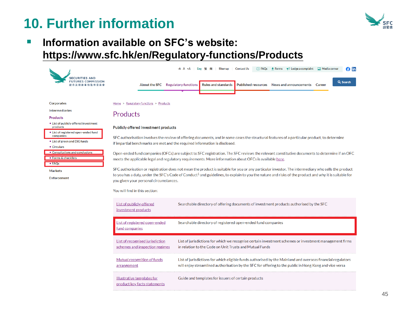

#### ■ Information available on **SFC's** website: **<https://www.sfc.hk/en/Regulatory-functions/Products>**

|                                                                                                   | $\odot$ FAQs $\bullet$ Forms $\bullet$ Lodge a complaint $\ddot{\bullet}$ Media corner<br>-A A +A   Eng 繁 簡<br>Sitemap<br><b>Contact Us</b><br>G in                                                                                                                                                                                                                                                |  |  |  |  |
|---------------------------------------------------------------------------------------------------|----------------------------------------------------------------------------------------------------------------------------------------------------------------------------------------------------------------------------------------------------------------------------------------------------------------------------------------------------------------------------------------------------|--|--|--|--|
| <b>FUTURES COMMISSION</b>                                                                         | Q Search<br><b>Regulatory functions</b><br><b>Rules and standards</b><br><b>Published resources</b><br><b>About the SFC</b><br>News and announcements<br>Career                                                                                                                                                                                                                                    |  |  |  |  |
| Corporates                                                                                        | Home > Regulatory functions > Products                                                                                                                                                                                                                                                                                                                                                             |  |  |  |  |
| <b>Intermediaries</b><br><b>Products</b>                                                          | Products                                                                                                                                                                                                                                                                                                                                                                                           |  |  |  |  |
| • List of publicly offered investment<br>products                                                 | Publicly offered investment products                                                                                                                                                                                                                                                                                                                                                               |  |  |  |  |
| . List of registered open-ended fund<br>companies<br>• List of green and ESG funds<br>• Circulars | SFC authorisation involves the review of offering documents, and in some cases the structural features of a particular product, to determine<br>if impartial benchmarks are met and the required information is disclosed.                                                                                                                                                                         |  |  |  |  |
| • Consultations and conclusions<br>• Forms & checklists<br>• FAQs                                 | Open-ended fund companies (OFCs) are subject to SFC registration. The SFC reviews the relevant constitutive documents to determine if an OFC<br>meets the applicable legal and regulatory requirements. More information about OFCs is available here.                                                                                                                                             |  |  |  |  |
| <b>Markets</b><br><b>Enforcement</b>                                                              | SFC authorisation or registration does not mean the product is suitable for you or any particular investor. The intermediary who sells the product<br>to you has a duty, under the SFC's Code of Conduct <sup>1</sup> and guidelines, to explain to you the nature and risks of the product and why it is suitable for<br>you given your personal circumstances.<br>You will find in this section: |  |  |  |  |
|                                                                                                   | List of publicly-offered<br>Searchable directory of offering documents of investment products authorised by the SFC<br>investment products                                                                                                                                                                                                                                                         |  |  |  |  |
|                                                                                                   | List of registered open-ended<br>Searchable directory of registered open-ended fund companies<br>fund companies                                                                                                                                                                                                                                                                                    |  |  |  |  |
|                                                                                                   | List of recognised jurisdiction<br>List of jurisdictions for which we recognise certain investment schemes or investment management firms<br>in relation to the Code on Unit Trusts and Mutual Funds<br>schemes and inspection regimes                                                                                                                                                             |  |  |  |  |
|                                                                                                   | Mutual recognition of funds<br>List of jurisdictions for which eligible funds authorised by the Mainland and overseas financial regulators<br>will enjoy streamlined authorisation by the SFC for offering to the public in Hong Kong and vice versa<br>arrangement                                                                                                                                |  |  |  |  |
|                                                                                                   | Illustrative templates for<br>Guide and templates for issuers of certain products<br>product key facts statements                                                                                                                                                                                                                                                                                  |  |  |  |  |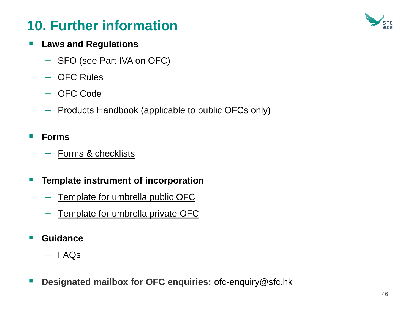

#### ▪ **Laws and Regulations**

- [SFO](https://www.elegislation.gov.hk/hk/cap571!en-zh-Hant-HK?INDEX_CS=N) (see Part IVA on OFC)
- [OFC Rules](https://www.elegislation.gov.hk/hk/cap571aq!en-zh-Hant-HK?INDEX_CS=N)
- [OFC Code](https://www.sfc.hk/en/Rules-and-standards/Codes-and-guidelines/Codes?rule=Code%20on%20Open-ended%20Fund%20Companies)
- [Products Handbook](https://www.sfc.hk/en/Rules-and-standards/Codes-and-guidelines/Codes?rule=SFC%20Handbook%20for%20Unit%20Trusts%20and%20Mutual%20Funds,%20Investment-Linked%20Assurance%20Schemes%20and%20Unlisted%20Structured%20Investment%20Products) (applicable to public OFCs only)
- **Forms** 
	- [Forms & checklists](https://www.sfc.hk/web/EN/forms/products/forms.html)
- **Template instrument of incorporation** 
	- [Template for umbrella public OFC](https://www.sfc.hk/web/EN/forms/products/forms.html)
	- [Template for umbrella private OFC](https://www.sfc.hk/web/EN/forms/products/forms.html)
- **Guidance** 
	- [FAQs](https://www.sfc.hk/web/EN/faqs/publicly-offered-investment-product/frequently-asked-questions-relating-to-open-ended-fund-companies.html)
- **Designated mailbox for OFC enquiries:** [ofc-enquiry@sfc.hk](mailto:ofc-enquiry@sfc.hk)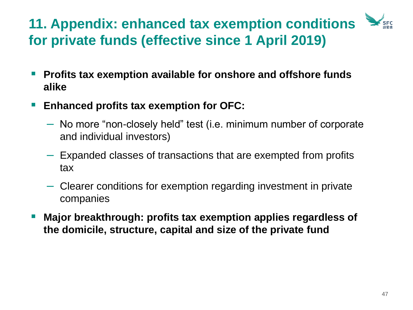# **11. Appendix: enhanced tax exemption conditions for private funds (effective since 1 April 2019)**

- Profits tax exemption available for onshore and offshore funds **alike**
- Enhanced profits tax exemption for OFC:
	- No more "non-closely held" test (i.e. minimum number of corporate and individual investors)
	- Expanded classes of transactions that are exempted from profits tax
	- Clearer conditions for exemption regarding investment in private companies
- **Major breakthrough: profits tax exemption applies regardless of the domicile, structure, capital and size of the private fund**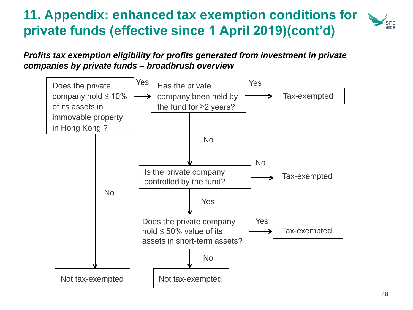#### **11. Appendix: enhanced tax exemption conditions for**  SFC **private funds (effective since 1 April 2019)(cont'd)**

#### *Profits tax exemption eligibility for profits generated from investment in private companies by private funds – broadbrush overview*